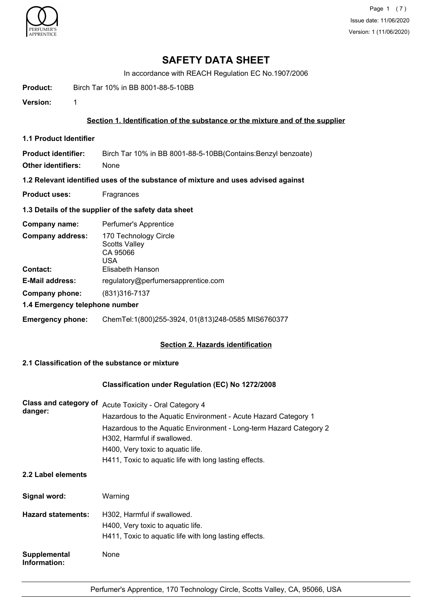

## **SAFETY DATA SHEET**

In accordance with REACH Regulation EC No.1907/2006

**Product:** Birch Tar 10% in BB 8001-88-5-10BB

**Version:** 1

### **Section 1. Identification of the substance or the mixture and of the supplier**

**1.1 Product Identifier**

**Product identifier:** Birch Tar 10% in BB 8001-88-5-10BB(Contains:Benzyl benzoate) **Other identifiers:** None

**1.2 Relevant identified uses of the substance of mixture and uses advised against**

**Product uses:** Fragrances

### **1.3 Details of the supplier of the safety data sheet**

| Company name:                              | Perfumer's Apprentice                                                                |
|--------------------------------------------|--------------------------------------------------------------------------------------|
| <b>Company address:</b><br><b>Contact:</b> | 170 Technology Circle<br><b>Scotts Valley</b><br>CA 95066<br>USA<br>Elisabeth Hanson |
| <b>E-Mail address:</b>                     | regulatory@perfumersapprentice.com                                                   |
| Company phone:                             | (831) 316 - 7137                                                                     |
| 1.4 Emergency telephone number             |                                                                                      |
| <b>Emergency phone:</b>                    | ChemTel:1(800)255-3924, 01(813)248-0585 MIS6760377                                   |

### **Section 2. Hazards identification**

## **2.1 Classification of the substance or mixture**

## **Classification under Regulation (EC) No 1272/2008**

| <b>Class and category of</b><br>danger: | <b>Acute Toxicity - Oral Category 4</b>                            |
|-----------------------------------------|--------------------------------------------------------------------|
|                                         | Hazardous to the Aquatic Environment - Acute Hazard Category 1     |
|                                         | Hazardous to the Aquatic Environment - Long-term Hazard Category 2 |
|                                         | H302, Harmful if swallowed.                                        |
|                                         | H400, Very toxic to aquatic life.                                  |
|                                         | H411, Toxic to aquatic life with long lasting effects.             |

## **2.2 Label elements**

| Signal word:                 | Warning                                                                                                                    |
|------------------------------|----------------------------------------------------------------------------------------------------------------------------|
| <b>Hazard statements:</b>    | H302, Harmful if swallowed.<br>H400, Very toxic to aquatic life.<br>H411, Toxic to aquatic life with long lasting effects. |
| Supplemental<br>Information: | None                                                                                                                       |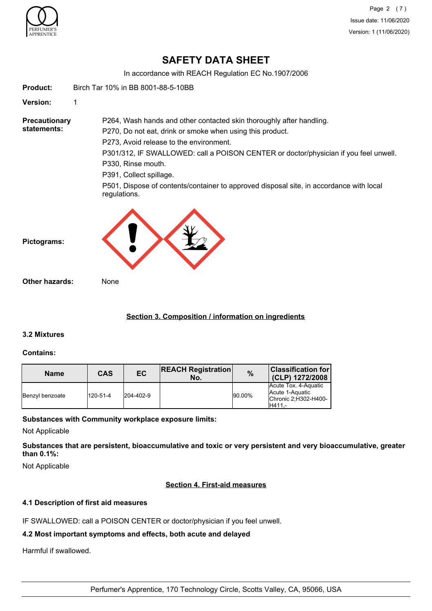

Page 2 (7) Issue date: 11/06/2020 Version: 1 (11/06/2020)

## **SAFETY DATA SHEET**

In accordance with REACH Regulation EC No.1907/2006

**Product:** Birch Tar 10% in BB 8001-88-5-10BB **Version:** 1 **Precautionary statements:** P264, Wash hands and other contacted skin thoroughly after handling. P270, Do not eat, drink or smoke when using this product. P273, Avoid release to the environment. P301/312, IF SWALLOWED: call a POISON CENTER or doctor/physician if you feel unwell. P330, Rinse mouth. P391, Collect spillage. P501, Dispose of contents/container to approved disposal site, in accordance with local regulations. **Pictograms: Other hazards:** None

## **Section 3. Composition / information on ingredients**

## **3.2 Mixtures**

### **Contains:**

| <b>Name</b>     | CAS      | EC        | <b>REACH Registration</b><br>No. | $\%$   | <b>Classification for</b><br>(CLP) 1272/2008                                |
|-----------------|----------|-----------|----------------------------------|--------|-----------------------------------------------------------------------------|
| Benzyl benzoate | 120-51-4 | 204-402-9 |                                  | 90.00% | Acute Tox. 4-Aquatic<br>Acute 1-Aquatic<br>IChronic 2:H302-H400-<br>IH411.- |

### **Substances with Community workplace exposure limits:**

Not Applicable

**Substances that are persistent, bioaccumulative and toxic or very persistent and very bioaccumulative, greater than 0.1%:**

Not Applicable

### **Section 4. First-aid measures**

### **4.1 Description of first aid measures**

IF SWALLOWED: call a POISON CENTER or doctor/physician if you feel unwell.

## **4.2 Most important symptoms and effects, both acute and delayed**

Harmful if swallowed.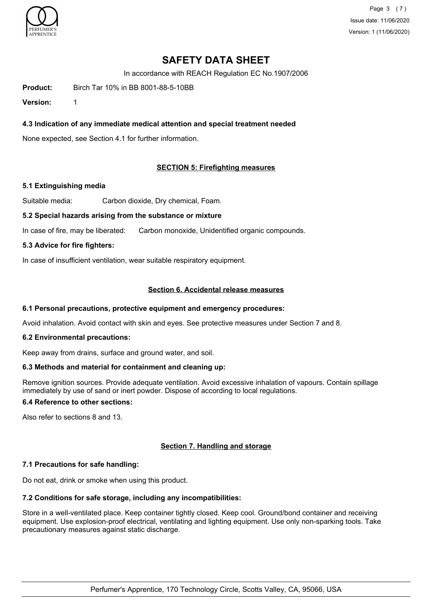

Page 3 (7) Issue date: 11/06/2020 Version: 1 (11/06/2020)

## **SAFETY DATA SHEET**

In accordance with REACH Regulation EC No.1907/2006

**Product:** Birch Tar 10% in BB 8001-88-5-10BB

**Version:** 1

## **4.3 Indication of any immediate medical attention and special treatment needed**

None expected, see Section 4.1 for further information.

### **SECTION 5: Firefighting measures**

#### **5.1 Extinguishing media**

Suitable media: Carbon dioxide, Dry chemical, Foam.

#### **5.2 Special hazards arising from the substance or mixture**

In case of fire, may be liberated: Carbon monoxide, Unidentified organic compounds.

#### **5.3 Advice for fire fighters:**

In case of insufficient ventilation, wear suitable respiratory equipment.

#### **Section 6. Accidental release measures**

#### **6.1 Personal precautions, protective equipment and emergency procedures:**

Avoid inhalation. Avoid contact with skin and eyes. See protective measures under Section 7 and 8.

#### **6.2 Environmental precautions:**

Keep away from drains, surface and ground water, and soil.

#### **6.3 Methods and material for containment and cleaning up:**

Remove ignition sources. Provide adequate ventilation. Avoid excessive inhalation of vapours. Contain spillage immediately by use of sand or inert powder. Dispose of according to local regulations.

## **6.4 Reference to other sections:**

Also refer to sections 8 and 13.

### **Section 7. Handling and storage**

### **7.1 Precautions for safe handling:**

Do not eat, drink or smoke when using this product.

### **7.2 Conditions for safe storage, including any incompatibilities:**

Store in a well-ventilated place. Keep container tightly closed. Keep cool. Ground/bond container and receiving equipment. Use explosion-proof electrical, ventilating and lighting equipment. Use only non-sparking tools. Take precautionary measures against static discharge.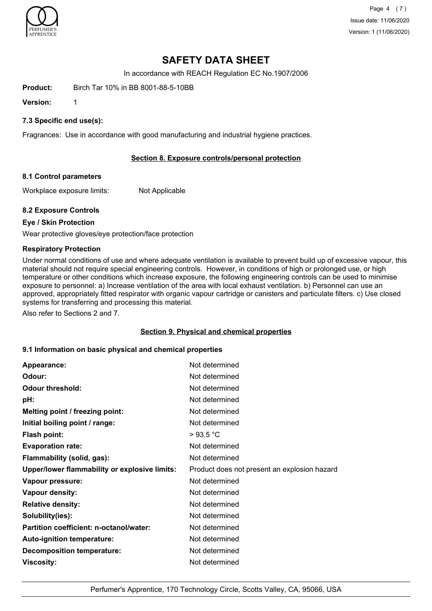

Page 4 (7) Issue date: 11/06/2020 Version: 1 (11/06/2020)

## **SAFETY DATA SHEET**

In accordance with REACH Regulation EC No.1907/2006

**Product:** Birch Tar 10% in BB 8001-88-5-10BB

**Version:** 1

## **7.3 Specific end use(s):**

Fragrances: Use in accordance with good manufacturing and industrial hygiene practices.

### **Section 8. Exposure controls/personal protection**

#### **8.1 Control parameters**

Workplace exposure limits: Not Applicable

### **8.2 Exposure Controls**

### **Eye / Skin Protection**

Wear protective gloves/eye protection/face protection

#### **Respiratory Protection**

Under normal conditions of use and where adequate ventilation is available to prevent build up of excessive vapour, this material should not require special engineering controls. However, in conditions of high or prolonged use, or high temperature or other conditions which increase exposure, the following engineering controls can be used to minimise exposure to personnel: a) Increase ventilation of the area with local exhaust ventilation. b) Personnel can use an approved, appropriately fitted respirator with organic vapour cartridge or canisters and particulate filters. c) Use closed systems for transferring and processing this material.

Also refer to Sections 2 and 7.

#### **Section 9. Physical and chemical properties**

### **9.1 Information on basic physical and chemical properties**

| Appearance:                                   | Not determined                               |
|-----------------------------------------------|----------------------------------------------|
| Odour:                                        | Not determined                               |
| <b>Odour threshold:</b>                       | Not determined                               |
| pH:                                           | Not determined                               |
| Melting point / freezing point:               | Not determined                               |
| Initial boiling point / range:                | Not determined                               |
| <b>Flash point:</b>                           | >93.5 °C                                     |
| <b>Evaporation rate:</b>                      | Not determined                               |
| Flammability (solid, gas):                    | Not determined                               |
| Upper/lower flammability or explosive limits: | Product does not present an explosion hazard |
| Vapour pressure:                              | Not determined                               |
| Vapour density:                               | Not determined                               |
| <b>Relative density:</b>                      | Not determined                               |
| Solubility(ies):                              | Not determined                               |
| Partition coefficient: n-octanol/water:       | Not determined                               |
| Auto-ignition temperature:                    | Not determined                               |
| <b>Decomposition temperature:</b>             | Not determined                               |
| Viscosity:                                    | Not determined                               |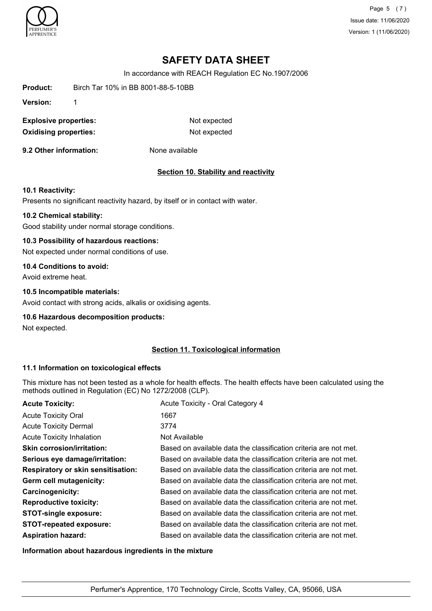

Page 5 (7) Issue date: 11/06/2020 Version: 1 (11/06/2020)

# **SAFETY DATA SHEET**

In accordance with REACH Regulation EC No.1907/2006

| Product: | Birch Tar 10% in BB 8001-88-5-10BB |
|----------|------------------------------------|
|          |                                    |

**Version:** 1

**Explosive properties:** Not expected **Oxidising properties:** Not expected

**9.2 Other information:** None available

#### **Section 10. Stability and reactivity**

#### **10.1 Reactivity:**

Presents no significant reactivity hazard, by itself or in contact with water.

#### **10.2 Chemical stability:**

Good stability under normal storage conditions.

#### **10.3 Possibility of hazardous reactions:**

Not expected under normal conditions of use.

## **10.4 Conditions to avoid:**

Avoid extreme heat.

### **10.5 Incompatible materials:**

Avoid contact with strong acids, alkalis or oxidising agents.

#### **10.6 Hazardous decomposition products:**

Not expected.

#### **Section 11. Toxicological information**

#### **11.1 Information on toxicological effects**

This mixture has not been tested as a whole for health effects. The health effects have been calculated using the methods outlined in Regulation (EC) No 1272/2008 (CLP).

| <b>Acute Toxicity:</b>                    | Acute Toxicity - Oral Category 4                                 |
|-------------------------------------------|------------------------------------------------------------------|
| <b>Acute Toxicity Oral</b>                | 1667                                                             |
| <b>Acute Toxicity Dermal</b>              | 3774                                                             |
| <b>Acute Toxicity Inhalation</b>          | Not Available                                                    |
| <b>Skin corrosion/irritation:</b>         | Based on available data the classification criteria are not met. |
| Serious eye damage/irritation:            | Based on available data the classification criteria are not met. |
| <b>Respiratory or skin sensitisation:</b> | Based on available data the classification criteria are not met. |
| Germ cell mutagenicity:                   | Based on available data the classification criteria are not met. |
| Carcinogenicity:                          | Based on available data the classification criteria are not met. |
| <b>Reproductive toxicity:</b>             | Based on available data the classification criteria are not met. |
| <b>STOT-single exposure:</b>              | Based on available data the classification criteria are not met. |
| <b>STOT-repeated exposure:</b>            | Based on available data the classification criteria are not met. |
| <b>Aspiration hazard:</b>                 | Based on available data the classification criteria are not met. |

**Information about hazardous ingredients in the mixture**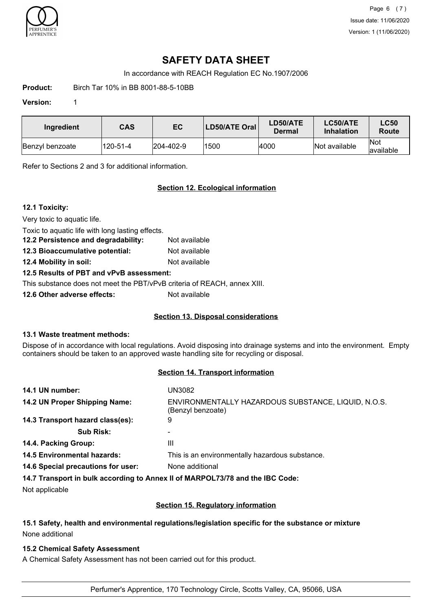

Page 6 (7) Issue date: 11/06/2020 Version: 1 (11/06/2020)

## **SAFETY DATA SHEET**

In accordance with REACH Regulation EC No.1907/2006

**Product:** Birch Tar 10% in BB 8001-88-5-10BB

#### **Version:** 1

| Ingredient      | <b>CAS</b> | EC                | LD50/ATE Oral | LD50/ATE<br>Dermal | LC50/ATE<br><b>Inhalation</b> | <b>LC50</b><br>Route |
|-----------------|------------|-------------------|---------------|--------------------|-------------------------------|----------------------|
| Benzyl benzoate | 120-51-4   | $ 204 - 402 - 9 $ | 1500          | 4000               | Not available                 | lNot<br>lavailable   |

Refer to Sections 2 and 3 for additional information.

## **Section 12. Ecological information**

### **12.1 Toxicity:**

Very toxic to aquatic life.

Toxic to aquatic life with long lasting effects.

**12.2 Persistence and degradability:** Not available **12.3 Bioaccumulative potential:** Not available

**12.4 Mobility in soil:** Not available

### **12.5 Results of PBT and vPvB assessment:**

This substance does not meet the PBT/vPvB criteria of REACH, annex XIII.

**12.6 Other adverse effects:** Not available

### **Section 13. Disposal considerations**

### **13.1 Waste treatment methods:**

Dispose of in accordance with local regulations. Avoid disposing into drainage systems and into the environment. Empty containers should be taken to an approved waste handling site for recycling or disposal.

## **Section 14. Transport information**

| 14.1 UN number:                    | UN3082                                                                         |
|------------------------------------|--------------------------------------------------------------------------------|
| 14.2 UN Proper Shipping Name:      | ENVIRONMENTALLY HAZARDOUS SUBSTANCE, LIQUID, N.O.S.<br>(Benzyl benzoate)       |
| 14.3 Transport hazard class(es):   | 9                                                                              |
| <b>Sub Risk:</b>                   |                                                                                |
| 14.4. Packing Group:               | Ш                                                                              |
| <b>14.5 Environmental hazards:</b> | This is an environmentally hazardous substance.                                |
| 14.6 Special precautions for user: | None additional                                                                |
|                                    | 14.7 Transport in bulk according to Anney II of MARPOL 73/78 and the IRC Code: |

**14.7 Transport in bulk according to Annex II of MARPOL73/78 and the IBC Code:**

Not applicable

### **Section 15. Regulatory information**

## **15.1 Safety, health and environmental regulations/legislation specific for the substance or mixture** None additional

### **15.2 Chemical Safety Assessment**

A Chemical Safety Assessment has not been carried out for this product.